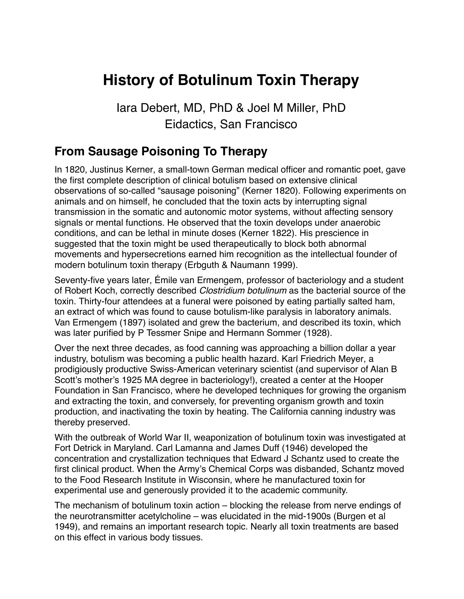# **History of Botulinum Toxin Therapy**

Iara Debert, MD, PhD & Joel M Miller, PhD Eidactics, San Francisco

#### **From Sausage Poisoning To Therapy**

In 1820, Justinus Kerner, a small-town German medical officer and romantic poet, gave the first complete description of clinical botulism based on extensive clinical observations of so-called "sausage poisoning" (Kerner 1820). Following experiments on animals and on himself, he concluded that the toxin acts by interrupting signal transmission in the somatic and autonomic motor systems, without affecting sensory signals or mental functions. He observed that the toxin develops under anaerobic conditions, and can be lethal in minute doses (Kerner 1822). His prescience in suggested that the toxin might be used therapeutically to block both abnormal movements and hypersecretions earned him recognition as the intellectual founder of modern botulinum toxin therapy (Erbguth & Naumann 1999).

Seventy-five years later, Émile van Ermengem, professor of bacteriology and a student of Robert Koch, correctly described *Clostridium botulinum* as the bacterial source of the toxin. Thirty-four attendees at a funeral were poisoned by eating partially salted ham, an extract of which was found to cause botulism-like paralysis in laboratory animals. Van Ermengem (1897) isolated and grew the bacterium, and described its toxin, which was later purified by P Tessmer Snipe and Hermann Sommer (1928).

Over the next three decades, as food canning was approaching a billion dollar a year industry, botulism was becoming a public health hazard. Karl Friedrich Meyer, a prodigiously productive Swiss-American veterinary scientist (and supervisor of Alan B Scott's mother's 1925 MA degree in bacteriology!), created a center at the Hooper Foundation in San Francisco, where he developed techniques for growing the organism and extracting the toxin, and conversely, for preventing organism growth and toxin production, and inactivating the toxin by heating. The California canning industry was thereby preserved.

With the outbreak of World War II, weaponization of botulinum toxin was investigated at Fort Detrick in Maryland. Carl Lamanna and James Duff (1946) developed the concentration and crystallization techniques that Edward J Schantz used to create the first clinical product. When the Army's Chemical Corps was disbanded, Schantz moved to the Food Research Institute in Wisconsin, where he manufactured toxin for experimental use and generously provided it to the academic community.

The mechanism of botulinum toxin action – blocking the release from nerve endings of the neurotransmitter acetylcholine – was elucidated in the mid-1900s (Burgen et al 1949), and remains an important research topic. Nearly all toxin treatments are based on this effect in various body tissues.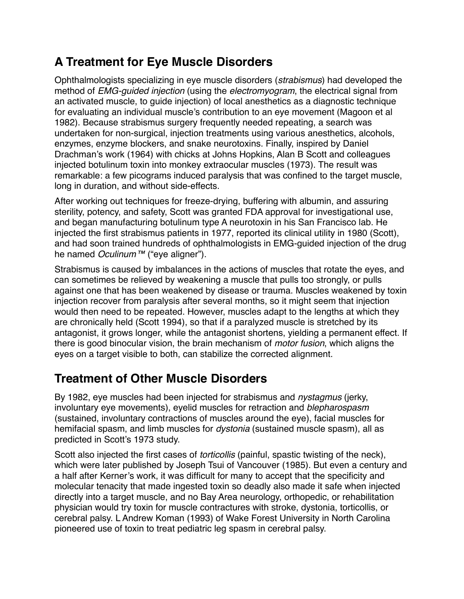#### **A Treatment for Eye Muscle Disorders**

Ophthalmologists specializing in eye muscle disorders (*strabismus*) had developed the method of *EMG-guided injection* (using the *electromyogram*, the electrical signal from an activated muscle, to guide injection) of local anesthetics as a diagnostic technique for evaluating an individual muscle's contribution to an eye movement (Magoon et al 1982). Because strabismus surgery frequently needed repeating, a search was undertaken for non-surgical, injection treatments using various anesthetics, alcohols, enzymes, enzyme blockers, and snake neurotoxins. Finally, inspired by Daniel Drachman's work (1964) with chicks at Johns Hopkins, Alan B Scott and colleagues injected botulinum toxin into monkey extraocular muscles (1973). The result was remarkable: a few picograms induced paralysis that was confined to the target muscle, long in duration, and without side-effects.

After working out techniques for freeze-drying, buffering with albumin, and assuring sterility, potency, and safety, Scott was granted FDA approval for investigational use, and began manufacturing botulinum type A neurotoxin in his San Francisco lab. He injected the first strabismus patients in 1977, reported its clinical utility in 1980 (Scott), and had soon trained hundreds of ophthalmologists in EMG-guided injection of the drug he named *Oculinum™* ("eye aligner").

[Strabismus](https://en.wikipedia.org/wiki/Strabismus) is caused by imbalances in the actions of muscles that rotate the eyes, and can sometimes be relieved by weakening a muscle that pulls too strongly, or pulls against one that has been weakened by disease or trauma. Muscles weakened by toxin injection recover from paralysis after several months, so it might seem that injection would then need to be repeated. However, muscles adapt to the lengths at which they are chronically held (Scott 1994), so that if a paralyzed muscle is stretched by its antagonist, it grows longer, while the antagonist shortens, yielding a permanent effect. If there is good binocular vision, the brain mechanism of *motor fusion*, which aligns the eyes on a target visible to both, can stabilize the corrected alignment.

### **Treatment of Other Muscle Disorders**

By 1982, eye muscles had been injected for strabismus and *nystagmus* (jerky, involuntary eye movements), eyelid muscles for retraction and *blepharospasm* (sustained, involuntary contractions of muscles around the eye), facial muscles for hemifacial spasm, and limb muscles for *dystonia* (sustained muscle spasm), all as predicted in Scott's 1973 study.

Scott also injected the first cases of *torticollis* (painful, spastic twisting of the neck), which were later published by Joseph Tsui of Vancouver (1985). But even a century and a half after Kerner's work, it was difficult for many to accept that the specificity and molecular tenacity that made ingested toxin so deadly also made it safe when injected directly into a target muscle, and no Bay Area neurology, orthopedic, or rehabilitation physician would try toxin for muscle contractures with stroke, dystonia, torticollis, or cerebral palsy. L Andrew Koman (1993) of Wake Forest University in North Carolina pioneered use of toxin to treat pediatric leg spasm in cerebral palsy.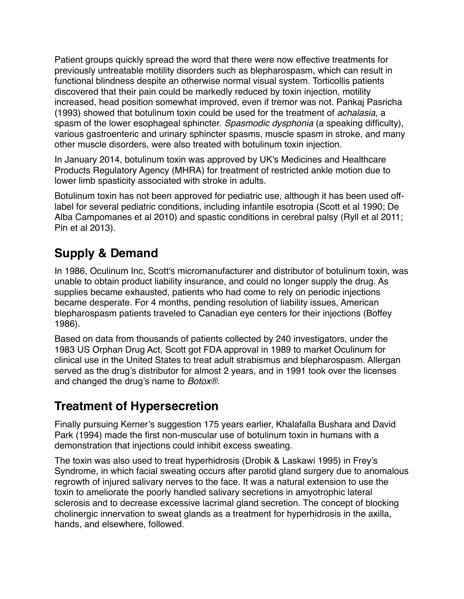Patient groups quickly spread the word that there were now effective treatments for previously untreatable motility disorders such as blepharospasm, which can result in functional blindness despite an otherwise normal visual system. Torticollis patients discovered that their pain could be markedly reduced by toxin injection, motility increased, head position somewhat improved, even if tremor was not. Pankaj Pasricha (1993) showed that botulinum toxin could be used for the treatment of *achalasia*, a spasm of the lower esophageal sphincter. *Spasmodic dysphonia* (a speaking difficulty), various gastroenteric and urinary sphincter spasms, muscle spasm in stroke, and many other muscle disorders, were also treated with botulinum toxin injection.

In January 2014, botulinum toxin was approved by UK's Medicines and Healthcare Products Regulatory Agency (MHRA) for treatment of restricted ankle motion due to lower limb spasticity associated with stroke in adults.

Botulinum toxin has not been approved for pediatric use, although it has been used offlabel for several pediatric conditions, including infantile esotropia (Scott et al 1990; De Alba Campomanes et al 2010) and spastic conditions in cerebral palsy (Ryll et al 2011; Pin et al 2013).

#### **Supply & Demand**

In 1986, Oculinum Inc, Scott's micromanufacturer and distributor of botulinum toxin, was unable to obtain product liability insurance, and could no longer supply the drug. As supplies became exhausted, patients who had come to rely on periodic injections became desperate. For 4 months, pending resolution of liability issues, American blepharospasm patients traveled to Canadian eye centers for their injections (Boffey 1986).

Based on data from thousands of patients collected by 240 investigators, under the 1983 US Orphan Drug Act, Scott got FDA approval in 1989 to market Oculinum for clinical use in the United States to treat adult strabismus and blepharospasm. Allergan served as the drug's distributor for almost 2 years, and in 1991 took over the licenses and changed the drug's name to *Botox®*.

#### **Treatment of Hypersecretion**

Finally pursuing Kerner's suggestion 175 years earlier, Khalafalla Bushara and David Park (1994) made the first non-muscular use of botulinum toxin in humans with a demonstration that injections could inhibit excess sweating.

The toxin was also used to treat hyperhidrosis (Drobik & Laskawi 1995) in Frey's Syndrome, in which facial sweating occurs after parotid gland surgery due to anomalous regrowth of injured salivary nerves to the face. It was a natural extension to use the toxin to ameliorate the poorly handled salivary secretions in amyotrophic lateral sclerosis and to decrease excessive lacrimal gland secretion. The concept of blocking cholinergic innervation to sweat glands as a treatment for hyperhidrosis in the axilla, hands, and elsewhere, followed.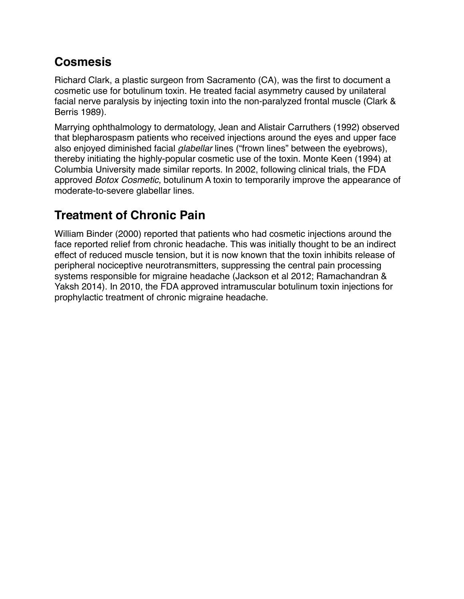#### **Cosmesis**

Richard Clark, a plastic surgeon from Sacramento (CA), was the first to document a cosmetic use for botulinum toxin. He treated facial asymmetry caused by unilateral facial nerve paralysis by injecting toxin into the non-paralyzed frontal muscle (Clark & Berris 1989).

Marrying ophthalmology to dermatology, Jean and Alistair Carruthers (1992) observed that [blepharospasm](https://en.wikipedia.org/wiki/Blepharospasm) patients who received injections around the eyes and upper face also enjoyed diminished facial *glabellar* lines ("frown lines" between the eyebrows), thereby initiating the highly-popular cosmetic use of the toxin. Monte Keen (1994) at Columbia University made similar reports. In 2002, following clinical trials, the FDA approved *Botox Cosmetic*, botulinum A toxin to temporarily improve the appearance of moderate-to-severe glabellar lines.

## **Treatment of Chronic Pain**

William Binder (2000) reported that patients who had cosmetic injections around the face reported relief from chronic headache. This was initially thought to be an indirect effect of reduced muscle tension, but it is now known that the toxin inhibits release of peripheral nociceptive neurotransmitters, suppressing the central pain processing systems responsible for migraine headache (Jackson et al 2012; Ramachandran & Yaksh 2014). In 2010, the FDA approved intramuscular botulinum toxin injections for prophylactic treatment of chronic migraine headache.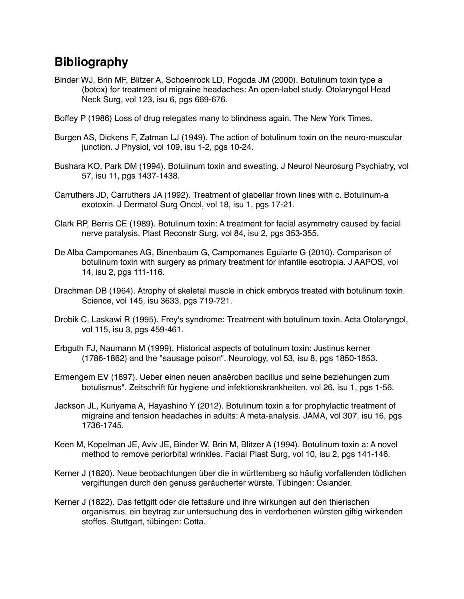#### **Bibliography**

- Binder WJ, Brin MF, Blitzer A, Schoenrock LD, Pogoda JM (2000). Botulinum toxin type a (botox) for treatment of migraine headaches: An open-label study. Otolaryngol Head Neck Surg, vol 123, isu 6, pgs 669-676.
- Boffey P (1986) Loss of drug relegates many to blindness again. The New York Times.
- Burgen AS, Dickens F, Zatman LJ (1949). The action of botulinum toxin on the neuro-muscular junction. J Physiol, vol 109, isu 1-2, pgs 10-24.
- Bushara KO, Park DM (1994). Botulinum toxin and sweating. J Neurol Neurosurg Psychiatry, vol 57, isu 11, pgs 1437-1438.
- Carruthers JD, Carruthers JA (1992). Treatment of glabellar frown lines with c. Botulinum-a exotoxin. J Dermatol Surg Oncol, vol 18, isu 1, pgs 17-21.
- Clark RP, Berris CE (1989). Botulinum toxin: A treatment for facial asymmetry caused by facial nerve paralysis. Plast Reconstr Surg, vol 84, isu 2, pgs 353-355.
- De Alba Campomanes AG, Binenbaum G, Campomanes Eguiarte G (2010). Comparison of botulinum toxin with surgery as primary treatment for infantile esotropia. J AAPOS, vol 14, isu 2, pgs 111-116.
- Drachman DB (1964). Atrophy of skeletal muscle in chick embryos treated with botulinum toxin. Science, vol 145, isu 3633, pgs 719-721.
- Drobik C, Laskawi R (1995). Frey's syndrome: Treatment with botulinum toxin. Acta Otolaryngol, vol 115, isu 3, pgs 459-461.
- Erbguth FJ, Naumann M (1999). Historical aspects of botulinum toxin: Justinus kerner (1786-1862) and the "sausage poison". Neurology, vol 53, isu 8, pgs 1850-1853.
- Ermengem EV (1897). Ueber einen neuen anaëroben bacillus und seine beziehungen zum botulismus". Zeitschrift für hygiene und infektionskrankheiten, vol 26, isu 1, pgs 1-56.
- Jackson JL, Kuriyama A, Hayashino Y (2012). Botulinum toxin a for prophylactic treatment of migraine and tension headaches in adults: A meta-analysis. JAMA, vol 307, isu 16, pgs 1736-1745.
- Keen M, Kopelman JE, Aviv JE, Binder W, Brin M, Blitzer A (1994). Botulinum toxin a: A novel method to remove periorbital wrinkles. Facial Plast Surg, vol 10, isu 2, pgs 141-146.
- Kerner J (1820). Neue beobachtungen über die in württemberg so häufig vorfallenden tödlichen vergiftungen durch den genuss geräucherter würste. Tübingen: Osiander.
- Kerner J (1822). Das fettgift oder die fettsäure und ihre wirkungen auf den thierischen organismus, ein beytrag zur untersuchung des in verdorbenen würsten giftig wirkenden stoffes. Stuttgart, tübingen: Cotta.